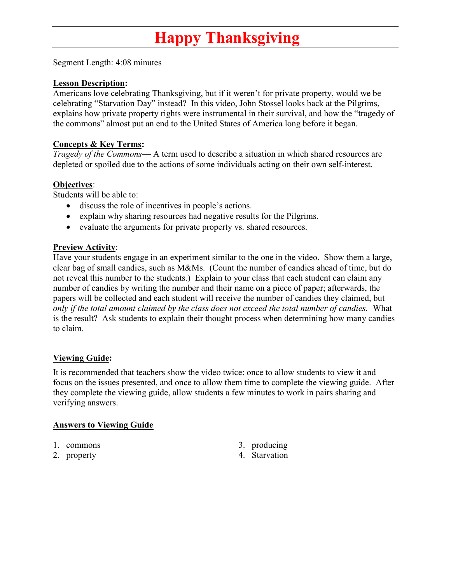# Happy Thanksgiving

Segment Length: 4:08 minutes

### Lesson Description:

Americans love celebrating Thanksgiving, but if it weren't for private property, would we be celebrating "Starvation Day" instead? In this video, John Stossel looks back at the Pilgrims, explains how private property rights were instrumental in their survival, and how the "tragedy of the commons" almost put an end to the United States of America long before it began.

### Concepts & Key Terms:

Tragedy of the Commons— A term used to describe a situation in which shared resources are depleted or spoiled due to the actions of some individuals acting on their own self-interest.

### Objectives:

Students will be able to:

- discuss the role of incentives in people's actions.
- explain why sharing resources had negative results for the Pilgrims.
- evaluate the arguments for private property vs. shared resources.

### Preview Activity:

Have your students engage in an experiment similar to the one in the video. Show them a large, clear bag of small candies, such as M&Ms. (Count the number of candies ahead of time, but do not reveal this number to the students.) Explain to your class that each student can claim any number of candies by writing the number and their name on a piece of paper; afterwards, the papers will be collected and each student will receive the number of candies they claimed, but only if the total amount claimed by the class does not exceed the total number of candies. What is the result? Ask students to explain their thought process when determining how many candies to claim.

# **Viewing Guide:**

It is recommended that teachers show the video twice: once to allow students to view it and focus on the issues presented, and once to allow them time to complete the viewing guide. After they complete the viewing guide, allow students a few minutes to work in pairs sharing and verifying answers.

#### Answers to Viewing Guide

- 1. commons
- 2. property
- 3. producing
- 4. Starvation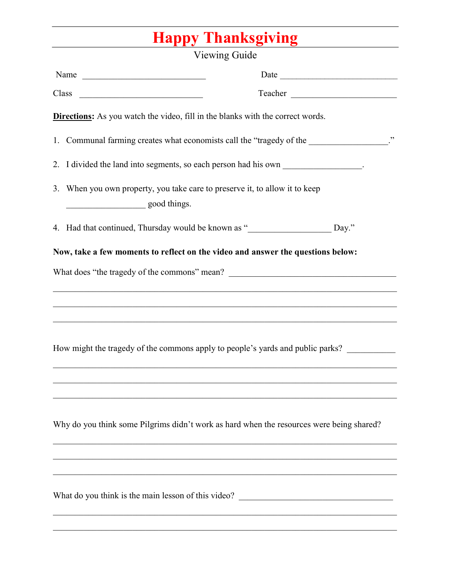# Happy Thanksgiving

| Viewing Guide |                                                                                                                                                                                                                                |
|---------------|--------------------------------------------------------------------------------------------------------------------------------------------------------------------------------------------------------------------------------|
|               | Name                                                                                                                                                                                                                           |
|               | Class<br>Teacher                                                                                                                                                                                                               |
|               | <b>Directions:</b> As you watch the video, fill in the blanks with the correct words.                                                                                                                                          |
|               | 1. Communal farming creates what economists call the "tragedy of the subsequence of the set of the set of the set of the set of the set of the set of the set of the set of the set of the set of the set of the set of the se |
|               | 2. I divided the land into segments, so each person had his own ________________.                                                                                                                                              |
|               | 3. When you own property, you take care to preserve it, to allow it to keep<br>good things.                                                                                                                                    |
|               | 4. Had that continued, Thursday would be known as "_________________________ Day."                                                                                                                                             |
|               | Now, take a few moments to reflect on the video and answer the questions below:                                                                                                                                                |
|               |                                                                                                                                                                                                                                |
|               | ,我们也不能在这里的人,我们也不能在这里的人,我们也不能在这里的人,我们也不能在这里的人,我们也不能在这里的人,我们也不能在这里的人,我们也不能在这里的人,我们也                                                                                                                                              |
|               | How might the tragedy of the commons apply to people's yards and public parks?                                                                                                                                                 |
|               | Why do you think some Pilgrims didn't work as hard when the resources were being shared?                                                                                                                                       |
|               | What do you think is the main lesson of this video? _____________________________                                                                                                                                              |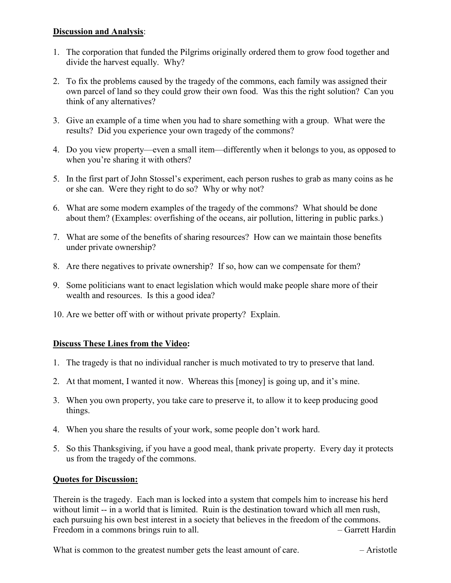# Discussion and Analysis:

- 1. The corporation that funded the Pilgrims originally ordered them to grow food together and divide the harvest equally. Why?
- 2. To fix the problems caused by the tragedy of the commons, each family was assigned their own parcel of land so they could grow their own food. Was this the right solution? Can you think of any alternatives?
- 3. Give an example of a time when you had to share something with a group. What were the results? Did you experience your own tragedy of the commons?
- 4. Do you view property—even a small item—differently when it belongs to you, as opposed to when you're sharing it with others?
- 5. In the first part of John Stossel's experiment, each person rushes to grab as many coins as he or she can. Were they right to do so? Why or why not?
- 6. What are some modern examples of the tragedy of the commons? What should be done about them? (Examples: overfishing of the oceans, air pollution, littering in public parks.)
- 7. What are some of the benefits of sharing resources? How can we maintain those benefits under private ownership?
- 8. Are there negatives to private ownership? If so, how can we compensate for them?
- 9. Some politicians want to enact legislation which would make people share more of their wealth and resources. Is this a good idea?
- 10. Are we better off with or without private property? Explain.

# Discuss These Lines from the Video:

- 1. The tragedy is that no individual rancher is much motivated to try to preserve that land.
- 2. At that moment, I wanted it now. Whereas this [money] is going up, and it's mine.
- 3. When you own property, you take care to preserve it, to allow it to keep producing good things.
- 4. When you share the results of your work, some people don't work hard.
- 5. So this Thanksgiving, if you have a good meal, thank private property. Every day it protects us from the tragedy of the commons.

# Quotes for Discussion:

Therein is the tragedy. Each man is locked into a system that compels him to increase his herd without limit -- in a world that is limited. Ruin is the destination toward which all men rush, each pursuing his own best interest in a society that believes in the freedom of the commons. Freedom in a commons brings ruin to all. – Garrett Hardin – Garrett Hardin

What is common to the greatest number gets the least amount of care. - - Aristotle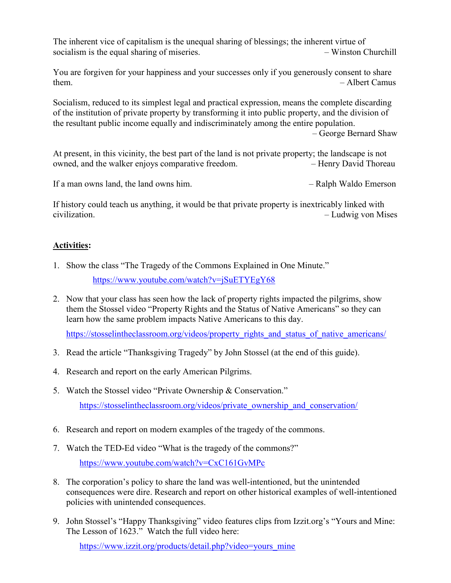The inherent vice of capitalism is the unequal sharing of blessings; the inherent virtue of socialism is the equal sharing of miseries.  $-$  Winston Churchill

You are forgiven for your happiness and your successes only if you generously consent to share them. – Albert Camus

Socialism, reduced to its simplest legal and practical expression, means the complete discarding of the institution of private property by transforming it into public property, and the division of the resultant public income equally and indiscriminately among the entire population.

– George Bernard Shaw

At present, in this vicinity, the best part of the land is not private property; the landscape is not owned, and the walker enjoys comparative freedom. – Henry David Thoreau

If a man owns land, the land owns him. – Ralph Waldo Emerson

If history could teach us anything, it would be that private property is inextricably linked with civilization. – Ludwig von Mises

# Activities:

- 1. Show the class "The Tragedy of the Commons Explained in One Minute." https://www.youtube.com/watch?v=jSuETYEgY68
- 2. Now that your class has seen how the lack of property rights impacted the pilgrims, show them the Stossel video "Property Rights and the Status of Native Americans" so they can learn how the same problem impacts Native Americans to this day.

https://stosselintheclassroom.org/videos/property\_rights\_and\_status\_of\_native\_americans/

- 3. Read the article "Thanksgiving Tragedy" by John Stossel (at the end of this guide).
- 4. Research and report on the early American Pilgrims.
- 5. Watch the Stossel video "Private Ownership & Conservation." https://stosselintheclassroom.org/videos/private\_ownership\_and\_conservation/
- 6. Research and report on modern examples of the tragedy of the commons.
- 7. Watch the TED-Ed video "What is the tragedy of the commons?" https://www.youtube.com/watch?v=CxC161GvMPc
- 8. The corporation's policy to share the land was well-intentioned, but the unintended consequences were dire. Research and report on other historical examples of well-intentioned policies with unintended consequences.
- 9. John Stossel's "Happy Thanksgiving" video features clips from Izzit.org's "Yours and Mine: The Lesson of 1623." Watch the full video here:

https://www.izzit.org/products/detail.php?video=yours\_mine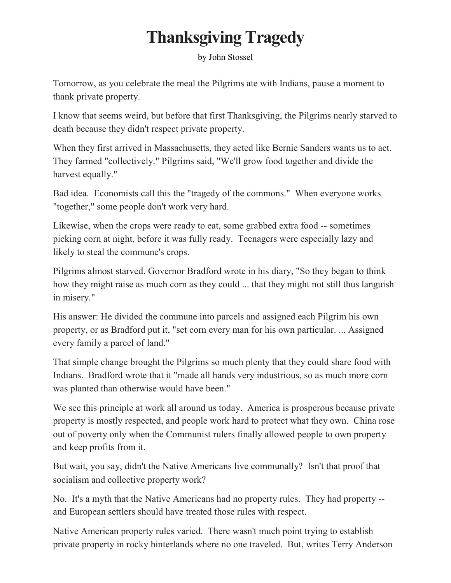# Thanksgiving Tragedy

by John Stossel

Tomorrow, as you celebrate the meal the Pilgrims ate with Indians, pause a moment to thank private property.

I know that seems weird, but before that first Thanksgiving, the Pilgrims nearly starved to death because they didn't respect private property.

When they first arrived in Massachusetts, they acted like Bernie Sanders wants us to act. They farmed "collectively." Pilgrims said, "We'll grow food together and divide the harvest equally."

Bad idea. Economists call this the "tragedy of the commons." When everyone works "together," some people don't work very hard.

Likewise, when the crops were ready to eat, some grabbed extra food -- sometimes picking corn at night, before it was fully ready. Teenagers were especially lazy and likely to steal the commune's crops.

Pilgrims almost starved. Governor Bradford wrote in his diary, "So they began to think how they might raise as much corn as they could ... that they might not still thus languish in misery."

His answer: He divided the commune into parcels and assigned each Pilgrim his own property, or as Bradford put it, "set corn every man for his own particular. ... Assigned every family a parcel of land."

That simple change brought the Pilgrims so much plenty that they could share food with Indians. Bradford wrote that it "made all hands very industrious, so as much more corn was planted than otherwise would have been."

We see this principle at work all around us today. America is prosperous because private property is mostly respected, and people work hard to protect what they own. China rose out of poverty only when the Communist rulers finally allowed people to own property and keep profits from it.

But wait, you say, didn't the Native Americans live communally? Isn't that proof that socialism and collective property work?

No. It's a myth that the Native Americans had no property rules. They had property - and European settlers should have treated those rules with respect.

Native American property rules varied. There wasn't much point trying to establish private property in rocky hinterlands where no one traveled. But, writes Terry Anderson